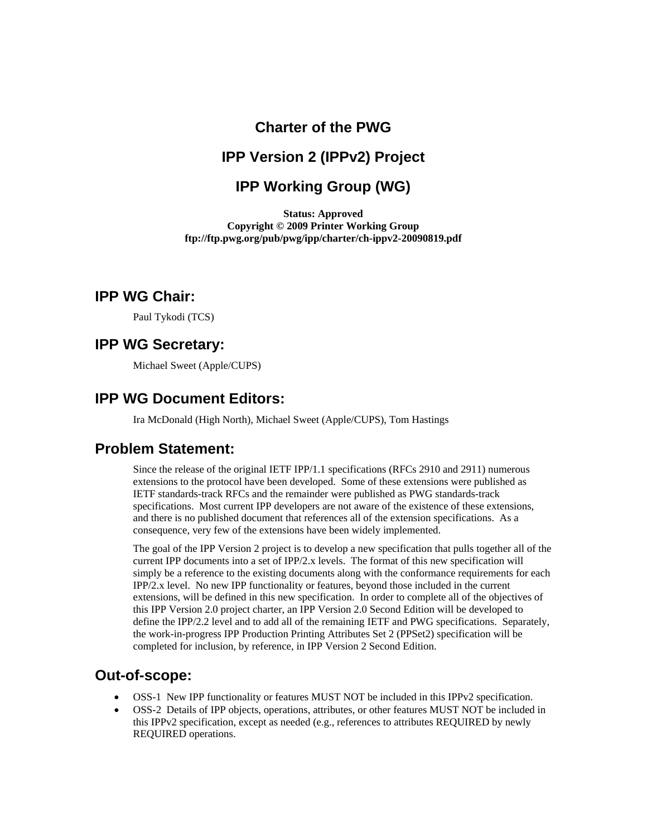## **Charter of the PWG**

## **IPP Version 2 (IPPv2) Project**

## **IPP Working Group (WG)**

**Status: Approved Copyright © 2009 Printer Working Group ftp://ftp.pwg.org/pub/pwg/ipp/charter/ch-ippv2-20090819.pdf** 

#### **IPP WG Chair:**

Paul Tykodi (TCS)

#### **IPP WG Secretary:**

Michael Sweet (Apple/CUPS)

### **IPP WG Document Editors:**

Ira McDonald (High North), Michael Sweet (Apple/CUPS), Tom Hastings

## **Problem Statement:**

Since the release of the original IETF IPP/1.1 specifications (RFCs 2910 and 2911) numerous extensions to the protocol have been developed. Some of these extensions were published as IETF standards-track RFCs and the remainder were published as PWG standards-track specifications. Most current IPP developers are not aware of the existence of these extensions, and there is no published document that references all of the extension specifications. As a consequence, very few of the extensions have been widely implemented.

The goal of the IPP Version 2 project is to develop a new specification that pulls together all of the current IPP documents into a set of IPP/2.x levels. The format of this new specification will simply be a reference to the existing documents along with the conformance requirements for each IPP/2.x level. No new IPP functionality or features, beyond those included in the current extensions, will be defined in this new specification. In order to complete all of the objectives of this IPP Version 2.0 project charter, an IPP Version 2.0 Second Edition will be developed to define the IPP/2.2 level and to add all of the remaining IETF and PWG specifications. Separately, the work-in-progress IPP Production Printing Attributes Set 2 (PPSet2) specification will be completed for inclusion, by reference, in IPP Version 2 Second Edition.

### **Out-of-scope:**

- OSS-1 New IPP functionality or features MUST NOT be included in this IPPv2 specification.
- OSS-2 Details of IPP objects, operations, attributes, or other features MUST NOT be included in this IPPv2 specification, except as needed (e.g., references to attributes REQUIRED by newly REQUIRED operations.